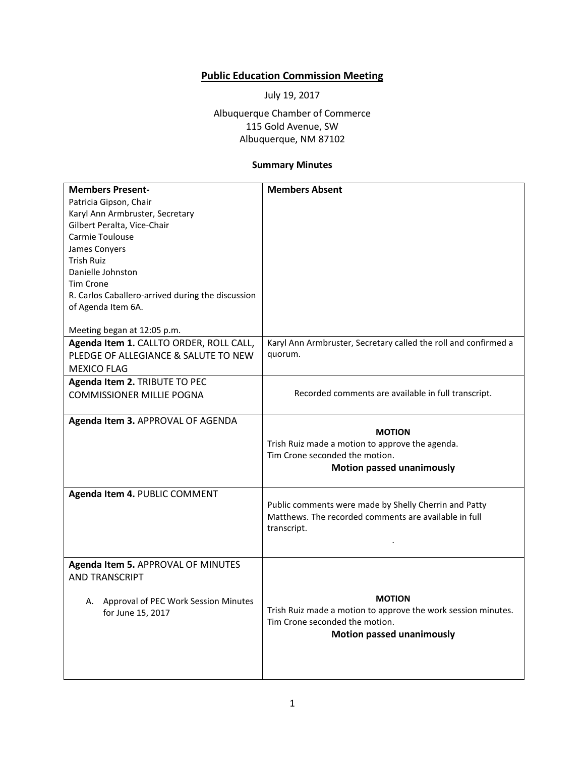## **Public Education Commission Meeting**

July 19, 2017

Albuquerque Chamber of Commerce 115 Gold Avenue, SW Albuquerque, NM 87102

## **Summary Minutes**

| <b>Members Present-</b>                           | <b>Members Absent</b>                                           |
|---------------------------------------------------|-----------------------------------------------------------------|
| Patricia Gipson, Chair                            |                                                                 |
| Karyl Ann Armbruster, Secretary                   |                                                                 |
| Gilbert Peralta, Vice-Chair                       |                                                                 |
| Carmie Toulouse                                   |                                                                 |
| James Conyers                                     |                                                                 |
| Trish Ruiz                                        |                                                                 |
| Danielle Johnston                                 |                                                                 |
| <b>Tim Crone</b>                                  |                                                                 |
| R. Carlos Caballero-arrived during the discussion |                                                                 |
|                                                   |                                                                 |
| of Agenda Item 6A.                                |                                                                 |
| Meeting began at 12:05 p.m.                       |                                                                 |
| Agenda Item 1. CALLTO ORDER, ROLL CALL,           | Karyl Ann Armbruster, Secretary called the roll and confirmed a |
| PLEDGE OF ALLEGIANCE & SALUTE TO NEW              | quorum.                                                         |
|                                                   |                                                                 |
| <b>MEXICO FLAG</b>                                |                                                                 |
| Agenda Item 2. TRIBUTE TO PEC                     |                                                                 |
| <b>COMMISSIONER MILLIE POGNA</b>                  | Recorded comments are available in full transcript.             |
|                                                   |                                                                 |
| Agenda Item 3. APPROVAL OF AGENDA                 |                                                                 |
|                                                   | <b>MOTION</b>                                                   |
|                                                   | Trish Ruiz made a motion to approve the agenda.                 |
|                                                   | Tim Crone seconded the motion.                                  |
|                                                   | <b>Motion passed unanimously</b>                                |
|                                                   |                                                                 |
| Agenda Item 4. PUBLIC COMMENT                     |                                                                 |
|                                                   | Public comments were made by Shelly Cherrin and Patty           |
|                                                   | Matthews. The recorded comments are available in full           |
|                                                   | transcript.                                                     |
|                                                   |                                                                 |
|                                                   |                                                                 |
| Agenda Item 5. APPROVAL OF MINUTES                |                                                                 |
| <b>AND TRANSCRIPT</b>                             |                                                                 |
|                                                   |                                                                 |
| A. Approval of PEC Work Session Minutes           | <b>MOTION</b>                                                   |
| for June 15, 2017                                 | Trish Ruiz made a motion to approve the work session minutes.   |
|                                                   | Tim Crone seconded the motion.                                  |
|                                                   | <b>Motion passed unanimously</b>                                |
|                                                   |                                                                 |
|                                                   |                                                                 |
|                                                   |                                                                 |
|                                                   |                                                                 |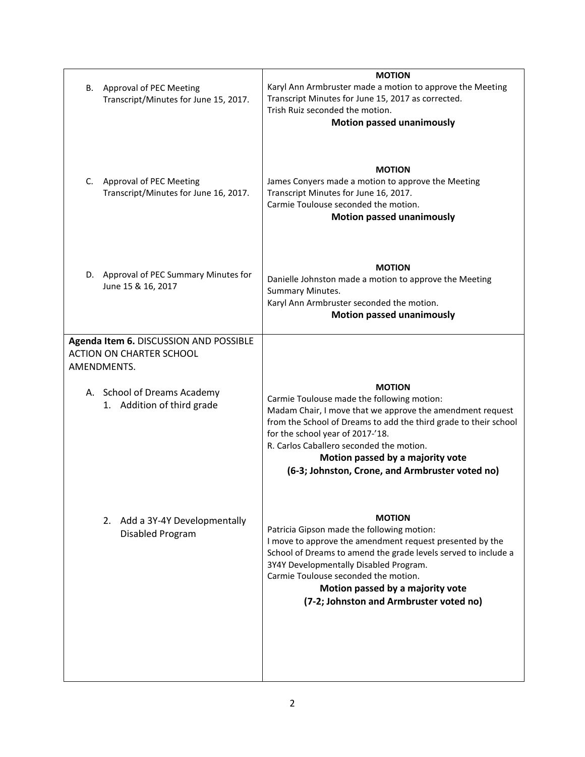| <b>MOTION</b>                                                                                                                                                                                                                                                                                                                                              |
|------------------------------------------------------------------------------------------------------------------------------------------------------------------------------------------------------------------------------------------------------------------------------------------------------------------------------------------------------------|
| Karyl Ann Armbruster made a motion to approve the Meeting<br>Transcript Minutes for June 15, 2017 as corrected.<br>Trish Ruiz seconded the motion.                                                                                                                                                                                                         |
| <b>Motion passed unanimously</b>                                                                                                                                                                                                                                                                                                                           |
| <b>MOTION</b><br>James Conyers made a motion to approve the Meeting<br>Transcript Minutes for June 16, 2017.<br>Carmie Toulouse seconded the motion.<br><b>Motion passed unanimously</b>                                                                                                                                                                   |
| <b>MOTION</b>                                                                                                                                                                                                                                                                                                                                              |
| Danielle Johnston made a motion to approve the Meeting<br>Summary Minutes.                                                                                                                                                                                                                                                                                 |
| Karyl Ann Armbruster seconded the motion.                                                                                                                                                                                                                                                                                                                  |
| <b>Motion passed unanimously</b>                                                                                                                                                                                                                                                                                                                           |
|                                                                                                                                                                                                                                                                                                                                                            |
| <b>MOTION</b>                                                                                                                                                                                                                                                                                                                                              |
| Carmie Toulouse made the following motion:<br>Madam Chair, I move that we approve the amendment request<br>from the School of Dreams to add the third grade to their school<br>for the school year of 2017-'18.<br>R. Carlos Caballero seconded the motion.<br>Motion passed by a majority vote<br>(6-3; Johnston, Crone, and Armbruster voted no)         |
| <b>MOTION</b><br>Patricia Gipson made the following motion:<br>I move to approve the amendment request presented by the<br>School of Dreams to amend the grade levels served to include a<br>3Y4Y Developmentally Disabled Program.<br>Carmie Toulouse seconded the motion.<br>Motion passed by a majority vote<br>(7-2; Johnston and Armbruster voted no) |
|                                                                                                                                                                                                                                                                                                                                                            |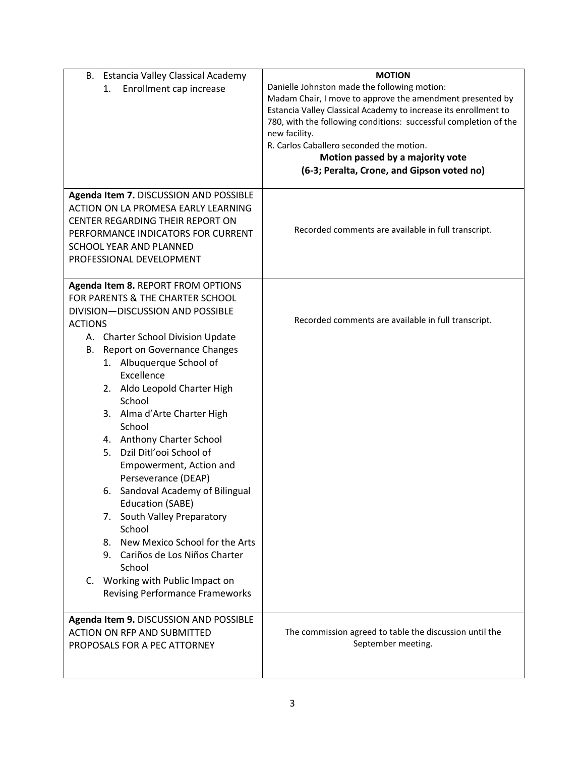| Estancia Valley Classical Academy<br>В.<br>Enrollment cap increase<br>1. | <b>MOTION</b><br>Danielle Johnston made the following motion:<br>Madam Chair, I move to approve the amendment presented by<br>Estancia Valley Classical Academy to increase its enrollment to<br>780, with the following conditions: successful completion of the<br>new facility. |
|--------------------------------------------------------------------------|------------------------------------------------------------------------------------------------------------------------------------------------------------------------------------------------------------------------------------------------------------------------------------|
|                                                                          | R. Carlos Caballero seconded the motion.                                                                                                                                                                                                                                           |
|                                                                          | Motion passed by a majority vote<br>(6-3; Peralta, Crone, and Gipson voted no)                                                                                                                                                                                                     |
| Agenda Item 7. DISCUSSION AND POSSIBLE                                   |                                                                                                                                                                                                                                                                                    |
| ACTION ON LA PROMESA EARLY LEARNING<br>CENTER REGARDING THEIR REPORT ON  |                                                                                                                                                                                                                                                                                    |
| PERFORMANCE INDICATORS FOR CURRENT                                       | Recorded comments are available in full transcript.                                                                                                                                                                                                                                |
| SCHOOL YEAR AND PLANNED<br>PROFESSIONAL DEVELOPMENT                      |                                                                                                                                                                                                                                                                                    |
|                                                                          |                                                                                                                                                                                                                                                                                    |
| Agenda Item 8. REPORT FROM OPTIONS<br>FOR PARENTS & THE CHARTER SCHOOL   |                                                                                                                                                                                                                                                                                    |
| DIVISION-DISCUSSION AND POSSIBLE                                         |                                                                                                                                                                                                                                                                                    |
| <b>ACTIONS</b>                                                           | Recorded comments are available in full transcript.                                                                                                                                                                                                                                |
| A. Charter School Division Update                                        |                                                                                                                                                                                                                                                                                    |
| Report on Governance Changes<br>В.                                       |                                                                                                                                                                                                                                                                                    |
| 1. Albuquerque School of                                                 |                                                                                                                                                                                                                                                                                    |
| Excellence                                                               |                                                                                                                                                                                                                                                                                    |
| 2. Aldo Leopold Charter High<br>School                                   |                                                                                                                                                                                                                                                                                    |
| 3. Alma d'Arte Charter High                                              |                                                                                                                                                                                                                                                                                    |
| School                                                                   |                                                                                                                                                                                                                                                                                    |
| 4. Anthony Charter School                                                |                                                                                                                                                                                                                                                                                    |
| 5. Dzil Ditl'ooi School of                                               |                                                                                                                                                                                                                                                                                    |
| Empowerment, Action and                                                  |                                                                                                                                                                                                                                                                                    |
| Perseverance (DEAP)                                                      |                                                                                                                                                                                                                                                                                    |
| 6. Sandoval Academy of Bilingual                                         |                                                                                                                                                                                                                                                                                    |
| <b>Education (SABE)</b>                                                  |                                                                                                                                                                                                                                                                                    |
| 7. South Valley Preparatory                                              |                                                                                                                                                                                                                                                                                    |
| School                                                                   |                                                                                                                                                                                                                                                                                    |
| 8. New Mexico School for the Arts<br>9. Cariños de Los Niños Charter     |                                                                                                                                                                                                                                                                                    |
| School                                                                   |                                                                                                                                                                                                                                                                                    |
| C. Working with Public Impact on                                         |                                                                                                                                                                                                                                                                                    |
| <b>Revising Performance Frameworks</b>                                   |                                                                                                                                                                                                                                                                                    |
|                                                                          |                                                                                                                                                                                                                                                                                    |
| Agenda Item 9. DISCUSSION AND POSSIBLE                                   |                                                                                                                                                                                                                                                                                    |
| <b>ACTION ON RFP AND SUBMITTED</b>                                       | The commission agreed to table the discussion until the                                                                                                                                                                                                                            |
| PROPOSALS FOR A PEC ATTORNEY                                             | September meeting.                                                                                                                                                                                                                                                                 |
|                                                                          |                                                                                                                                                                                                                                                                                    |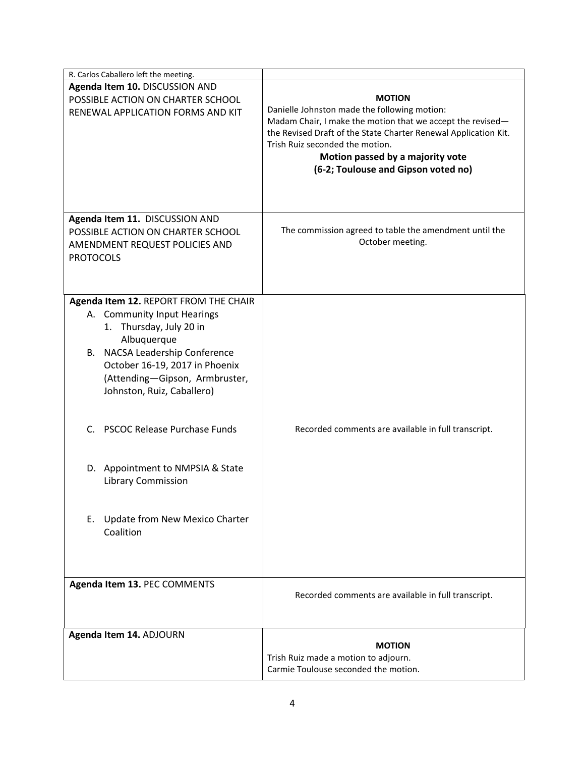| R. Carlos Caballero left the meeting.                                                                                                                                                                     |                                                                                                                                                                                                                                                                                             |
|-----------------------------------------------------------------------------------------------------------------------------------------------------------------------------------------------------------|---------------------------------------------------------------------------------------------------------------------------------------------------------------------------------------------------------------------------------------------------------------------------------------------|
| Agenda Item 10. DISCUSSION AND                                                                                                                                                                            |                                                                                                                                                                                                                                                                                             |
| POSSIBLE ACTION ON CHARTER SCHOOL                                                                                                                                                                         | <b>MOTION</b>                                                                                                                                                                                                                                                                               |
| RENEWAL APPLICATION FORMS AND KIT                                                                                                                                                                         | Danielle Johnston made the following motion:<br>Madam Chair, I make the motion that we accept the revised-<br>the Revised Draft of the State Charter Renewal Application Kit.<br>Trish Ruiz seconded the motion.<br>Motion passed by a majority vote<br>(6-2; Toulouse and Gipson voted no) |
| Agenda Item 11. DISCUSSION AND                                                                                                                                                                            |                                                                                                                                                                                                                                                                                             |
| POSSIBLE ACTION ON CHARTER SCHOOL                                                                                                                                                                         | The commission agreed to table the amendment until the                                                                                                                                                                                                                                      |
| AMENDMENT REQUEST POLICIES AND                                                                                                                                                                            | October meeting.                                                                                                                                                                                                                                                                            |
| <b>PROTOCOLS</b>                                                                                                                                                                                          |                                                                                                                                                                                                                                                                                             |
|                                                                                                                                                                                                           |                                                                                                                                                                                                                                                                                             |
|                                                                                                                                                                                                           |                                                                                                                                                                                                                                                                                             |
| Agenda Item 12. REPORT FROM THE CHAIR                                                                                                                                                                     |                                                                                                                                                                                                                                                                                             |
| A. Community Input Hearings<br>1. Thursday, July 20 in<br>Albuquerque<br>B. NACSA Leadership Conference<br>October 16-19, 2017 in Phoenix<br>(Attending-Gipson, Armbruster,<br>Johnston, Ruiz, Caballero) |                                                                                                                                                                                                                                                                                             |
| C. PSCOC Release Purchase Funds                                                                                                                                                                           | Recorded comments are available in full transcript.                                                                                                                                                                                                                                         |
| D. Appointment to NMPSIA & State<br><b>Library Commission</b>                                                                                                                                             |                                                                                                                                                                                                                                                                                             |
| Update from New Mexico Charter<br>Е.<br>Coalition                                                                                                                                                         |                                                                                                                                                                                                                                                                                             |
|                                                                                                                                                                                                           |                                                                                                                                                                                                                                                                                             |
| Agenda Item 13. PEC COMMENTS                                                                                                                                                                              | Recorded comments are available in full transcript.                                                                                                                                                                                                                                         |
| Agenda Item 14. ADJOURN                                                                                                                                                                                   |                                                                                                                                                                                                                                                                                             |
|                                                                                                                                                                                                           | <b>MOTION</b>                                                                                                                                                                                                                                                                               |
|                                                                                                                                                                                                           | Trish Ruiz made a motion to adjourn.                                                                                                                                                                                                                                                        |
|                                                                                                                                                                                                           | Carmie Toulouse seconded the motion.                                                                                                                                                                                                                                                        |
|                                                                                                                                                                                                           |                                                                                                                                                                                                                                                                                             |